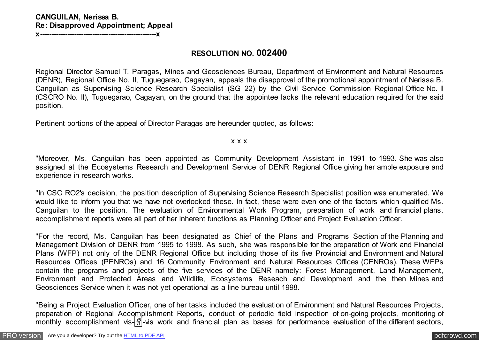# **RESOLUTION NO. 002400**

Regional Director Samuel T. Paragas, Mines and Geosciences Bureau, Department of Environment and Natural Resources (DENR), Regional Office No. II, Tuguegarao, Cagayan, appeals the disapproval of the promotional appointment of Nerissa B. Canguilan as Supervising Science Research Specialist (SG 22) by the Civil Service Commission Regional Office No. II (CSCRO No. II), Tuguegarao, Cagayan, on the ground that the appointee lacks the relevant education required for the said position.

Pertinent portions of the appeal of Director Paragas are hereunder quoted, as follows:

#### x x x

"Moreover, Ms. Canguilan has been appointed as Community Development Assistant in 1991 to 1993. She was also assigned at the Ecosystems Research and Development Service of DENR Regional Office giving her ample exposure and experience in research works.

"In CSC RO2's decision, the position description of Supervising Science Research Specialist position was enumerated. We would like to inform you that we have not overlooked these. In fact, these were even one of the factors which qualified Ms. Canguilan to the position. The evaluation of Environmental Work Program, preparation of work and financial plans, accomplishment reports were all part of her inherent functions as Planning Officer and Project Evaluation Officer.

"For the record, Ms. Canguilan has been designated as Chief of the Plans and Programs Section of the Planning and Management Division of DENR from 1995 to 1998. As such, she was responsible for the preparation of Work and Financial Plans (WFP) not only of the DENR Regional Office but including those of its five Provincial and Environment and Natural Resources Offices (PENROs) and 16 Community Environment and Natural Resources Offices (CENROs). These WFPs contain the programs and projects of the five services of the DENR namely: Forest Management, Land Management, Environment and Protected Areas and Wildlife, Ecosystems Reseach and Development and the then Mines and Geosciences Service when it was not yet operational as a line bureau until 1998.

"Being a Project Evaluation Officer, one of her tasks included the evaluation of Environment and Natural Resources Projects, preparation of Regional Accomplishment Reports, conduct of periodic field inspection of on-going projects, monitoring of monthly accomplishment vis- $\frac{|\mathcal{X}|}{|\mathcal{Y}|}$ -vis work and financial plan as bases for performance evaluation of the different sectors,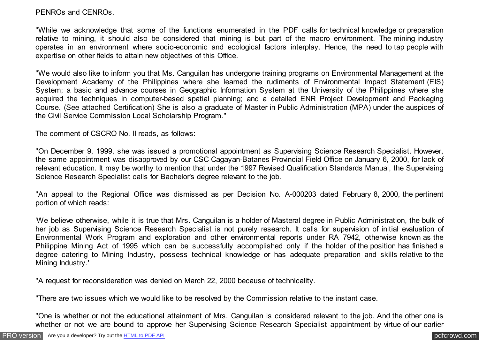### PENROs and CENROs.

"While we acknowledge that some of the functions enumerated in the PDF calls for technical knowledge or preparation relative to mining, it should also be considered that mining is but part of the macro environment. The mining industry operates in an environment where socio-economic and ecological factors interplay. Hence, the need to tap people with expertise on other fields to attain new objectives of this Office.

"We would also like to inform you that Ms. Canguilan has undergone training programs on Environmental Management at the Development Academy of the Philippines where she learned the rudiments of Environmental Impact Statement (EIS) System; a basic and advance courses in Geographic Information System at the University of the Philippines where she acquired the techniques in computer-based spatial planning; and a detailed ENR Project Development and Packaging Course. (See attached Certification) She is also a graduate of Master in Public Administration (MPA) under the auspices of the Civil Service Commission Local Scholarship Program."

The comment of CSCRO No. II reads, as follows:

"On December 9, 1999, she was issued a promotional appointment as Supervising Science Research Specialist. However, the same appointment was disapproved by our CSC Cagayan-Batanes Provincial Field Office on January 6, 2000, for lack of relevant education. It may be worthy to mention that under the 1997 Revised Qualification Standards Manual, the Supervising Science Research Specialist calls for Bachelor's degree relevant to the job.

"An appeal to the Regional Office was dismissed as per Decision No. A-000203 dated February 8, 2000, the pertinent portion of which reads:

'We believe otherwise, while it is true that Mrs. Canguilan is a holder of Masteral degree in Public Administration, the bulk of her job as Supervising Science Research Specialist is not purely research. It calls for supervision of initial evaluation of Environmental Work Program and exploration and other environmental reports under RA 7942, otherwise known as the Philippine Mining Act of 1995 which can be successfully accomplished only if the holder of the position has finished a degree catering to Mining Industry, possess technical knowledge or has adequate preparation and skills relative to the Mining Industry.'

"A request for reconsideration was denied on March 22, 2000 because of technicality.

"There are two issues which we would like to be resolved by the Commission relative to the instant case.

"One is whether or not the educational attainment of Mrs. Canguilan is considered relevant to the job. And the other one is whether or not we are bound to approve her Supervising Science Research Specialist appointment by virtue of our earlier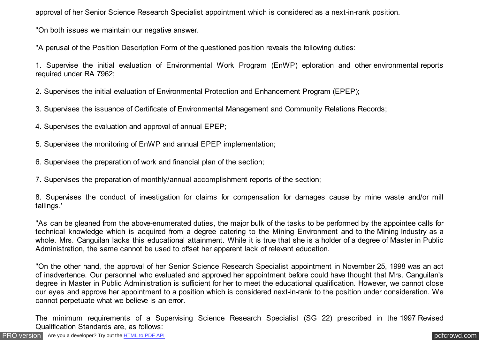approval of her Senior Science Research Specialist appointment which is considered as a next-in-rank position.

"On both issues we maintain our negative answer.

"A perusal of the Position Description Form of the questioned position reveals the following duties:

1. Supervise the initial evaluation of Environmental Work Program (EnWP) eploration and other environmental reports required under RA 7962;

2. Supervises the initial evaluation of Environmental Protection and Enhancement Program (EPEP);

- 3. Supervises the issuance of Certificate of Environmental Management and Community Relations Records;
- 4. Supervises the evaluation and approval of annual EPEP;
- 5. Supervises the monitoring of EnWP and annual EPEP implementation;
- 6. Supervises the preparation of work and financial plan of the section;
- 7. Supervises the preparation of monthly/annual accomplishment reports of the section;

8. Supervises the conduct of investigation for claims for compensation for damages cause by mine waste and/or mill tailings.'

"As can be gleaned from the above-enumerated duties, the major bulk of the tasks to be performed by the appointee calls for technical knowledge which is acquired from a degree catering to the Mining Environment and to the Mining Industry as a whole. Mrs. Canguilan lacks this educational attainment. While it is true that she is a holder of a degree of Master in Public Administration, the same cannot be used to offset her apparent lack of relevant education.

"On the other hand, the approval of her Senior Science Research Specialist appointment in November 25, 1998 was an act of inadvertence. Our personnel who evaluated and approved her appointment before could have thought that Mrs. Canguilan's degree in Master in Public Administration is sufficient for her to meet the educational qualification. However, we cannot close our eyes and approve her appointment to a position which is considered next-in-rank to the position under consideration. We cannot perpetuate what we believe is an error.

The minimum requirements of a Supervising Science Research Specialist (SG 22) prescribed in the 1997 Revised Qualification Standards are, as follows:

[PRO version](http://pdfcrowd.com/customize/) Are you a developer? Try out th[e HTML to PDF API](http://pdfcrowd.com/html-to-pdf-api/?ref=pdf) [pdfcrowd.com](http://pdfcrowd.com)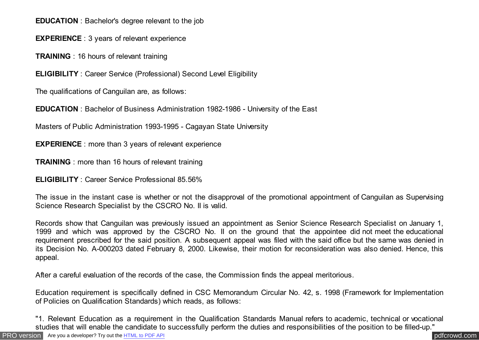**EDUCATION** : Bachelor's degree relevant to the job

**EXPERIENCE** : 3 years of relevant experience

**TRAINING** : 16 hours of relevant training

**ELIGIBILITY** : Career Service (Professional) Second Level Eligibility

The qualifications of Canguilan are, as follows:

**EDUCATION** : Bachelor of Business Administration 1982-1986 - University of the East

Masters of Public Administration 1993-1995 - Cagayan State University

**EXPERIENCE**: more than 3 years of relevant experience

**TRAINING** : more than 16 hours of relevant training

**ELIGIBILITY** : Career Service Professional 85.56%

The issue in the instant case is whether or not the disapproval of the promotional appointment of Canguilan as Supervising Science Research Specialist by the CSCRO No. II is valid.

Records show that Canguilan was previously issued an appointment as Senior Science Research Specialist on January 1, 1999 and which was approved by the CSCRO No. II on the ground that the appointee did not meet the educational requirement prescribed for the said position. A subsequent appeal was filed with the said office but the same was denied in its Decision No. A-000203 dated February 8, 2000. Likewise, their motion for reconsideration was also denied. Hence, this appeal.

After a careful evaluation of the records of the case, the Commission finds the appeal meritorious.

Education requirement is specifically defined in CSC Memorandum Circular No. 42, s. 1998 (Framework for Implementation of Policies on Qualification Standards) which reads, as follows:

"1. Relevant Education as a requirement in the Qualification Standards Manual refers to academic, technical or vocational studies that will enable the candidate to successfully perform the duties and responsibilities of the position to be filled-up."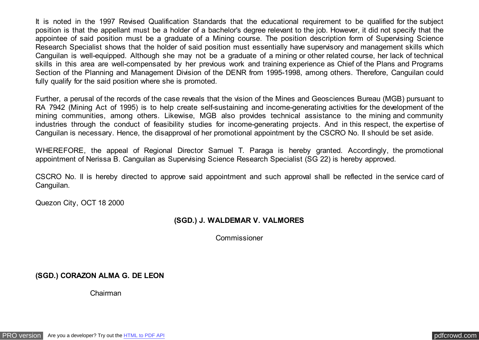It is noted in the 1997 Revised Qualification Standards that the educational requirement to be qualified for the subject position is that the appellant must be a holder of a bachelor's degree relevant to the job. However, it did not specify that the appointee of said position must be a graduate of a Mining course. The position description form of Supervising Science Research Specialist shows that the holder of said position must essentially have supervisory and management skills which Canguilan is well-equipped. Although she may not be a graduate of a mining or other related course, her lack of technical skills in this area are well-compensated by her previous work and training experience as Chief of the Plans and Programs Section of the Planning and Management Division of the DENR from 1995-1998, among others. Therefore, Canguilan could fully qualify for the said position where she is promoted.

Further, a perusal of the records of the case reveals that the vision of the Mines and Geosciences Bureau (MGB) pursuant to RA 7942 (Mining Act of 1995) is to help create self-sustaining and income-generating activities for the development of the mining communities, among others. Likewise, MGB also provides technical assistance to the mining and community industries through the conduct of feasibility studies for income-generating projects. And in this respect, the expertise of Canguilan is necessary. Hence, the disapproval of her promotional appointment by the CSCRO No. II should be set aside.

WHEREFORE, the appeal of Regional Director Samuel T. Paraga is hereby granted. Accordingly, the promotional appointment of Nerissa B. Canguilan as Supervising Science Research Specialist (SG 22) is hereby approved.

CSCRO No. II is hereby directed to approve said appointment and such approval shall be reflected in the service card of Canguilan.

Quezon City, OCT 18 2000

### **(SGD.) J. WALDEMAR V. VALMORES**

Commissioner

# **(SGD.) CORAZON ALMA G. DE LEON**

Chairman